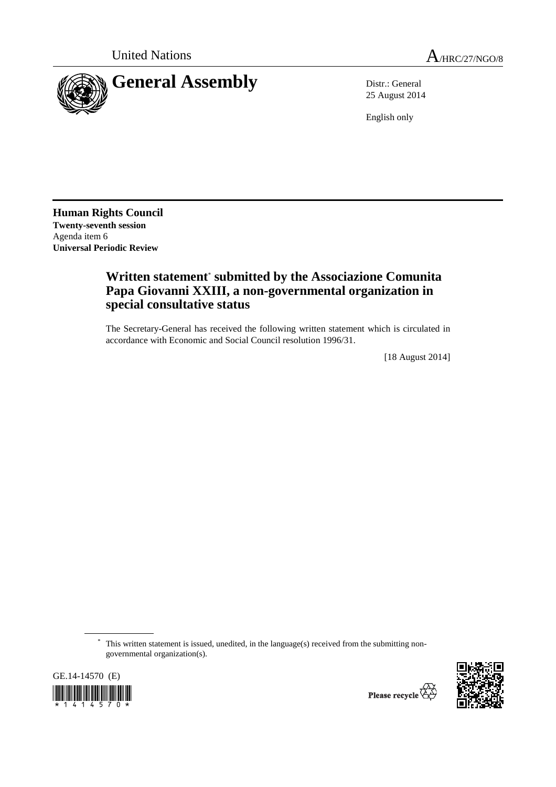

25 August 2014

English only

**Human Rights Council Twenty-seventh session**  Agenda item 6 **Universal Periodic Review** 

## **Written statement**\*  **submitted by the Associazione Comunita Papa Giovanni XXIII, a non-governmental organization in special consultative status**

The Secretary-General has received the following written statement which is circulated in accordance with Economic and Social Council resolution 1996/31.

[18 August 2014]

 \* This written statement is issued, unedited, in the language(s) received from the submitting nongovernmental organization(s).





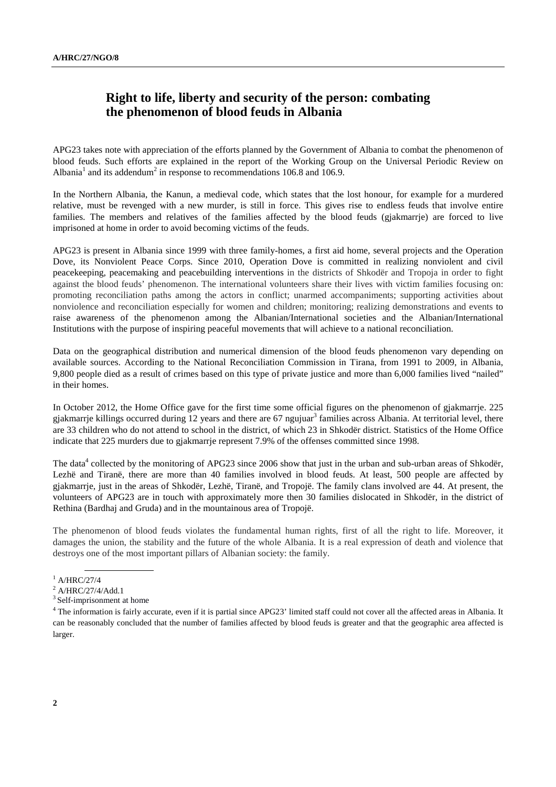## **Right to life, liberty and security of the person: combating the phenomenon of blood feuds in Albania**

APG23 takes note with appreciation of the efforts planned by the Government of Albania to combat the phenomenon of blood feuds. Such efforts are explained in the report of the Working Group on the Universal Periodic Review on Albania<sup>1</sup> and its addendum<sup>2</sup> in response to recommendations 106.8 and 106.9.

In the Northern Albania, the Kanun, a medieval code, which states that the lost honour, for example for a murdered relative, must be revenged with a new murder, is still in force. This gives rise to endless feuds that involve entire families. The members and relatives of the families affected by the blood feuds (gjakmarrje) are forced to live imprisoned at home in order to avoid becoming victims of the feuds.

APG23 is present in Albania since 1999 with three family-homes, a first aid home, several projects and the Operation Dove, its Nonviolent Peace Corps. Since 2010, Operation Dove is committed in realizing nonviolent and civil peacekeeping, peacemaking and peacebuilding interventions in the districts of Shkodër and Tropoja in order to fight against the blood feuds' phenomenon. The international volunteers share their lives with victim families focusing on: promoting reconciliation paths among the actors in conflict; unarmed accompaniments; supporting activities about nonviolence and reconciliation especially for women and children; monitoring; realizing demonstrations and events to raise awareness of the phenomenon among the Albanian/International societies and the Albanian/International Institutions with the purpose of inspiring peaceful movements that will achieve to a national reconciliation.

Data on the geographical distribution and numerical dimension of the blood feuds phenomenon vary depending on available sources. According to the National Reconciliation Commission in Tirana, from 1991 to 2009, in Albania, 9,800 people died as a result of crimes based on this type of private justice and more than 6,000 families lived "nailed" in their homes.

In October 2012, the Home Office gave for the first time some official figures on the phenomenon of gjakmarrje. 225 gjakmarrje killings occurred during 12 years and there are 67 ngujuar<sup>3</sup> families across Albania. At territorial level, there are 33 children who do not attend to school in the district, of which 23 in Shkodër district. Statistics of the Home Office indicate that 225 murders due to gjakmarrje represent 7.9% of the offenses committed since 1998.

The data<sup>4</sup> collected by the monitoring of APG23 since 2006 show that just in the urban and sub-urban areas of Shkodër, Lezhë and Tiranë, there are more than 40 families involved in blood feuds. At least, 500 people are affected by gjakmarrje, just in the areas of Shkodër, Lezhë, Tiranë, and Tropojë. The family clans involved are 44. At present, the volunteers of APG23 are in touch with approximately more then 30 families dislocated in Shkodër, in the district of Rethina (Bardhaj and Gruda) and in the mountainous area of Tropojë.

The phenomenon of blood feuds violates the fundamental human rights, first of all the right to life. Moreover, it damages the union, the stability and the future of the whole Albania. It is a real expression of death and violence that destroys one of the most important pillars of Albanian society: the family.

 $^1$  A/HRC/27/4

 $^{2}$  A/HRC/27/4/Add.1

<sup>&</sup>lt;sup>3</sup> Self-imprisonment at home

<sup>&</sup>lt;sup>4</sup> The information is fairly accurate, even if it is partial since APG23' limited staff could not cover all the affected areas in Albania. It can be reasonably concluded that the number of families affected by blood feuds is greater and that the geographic area affected is larger.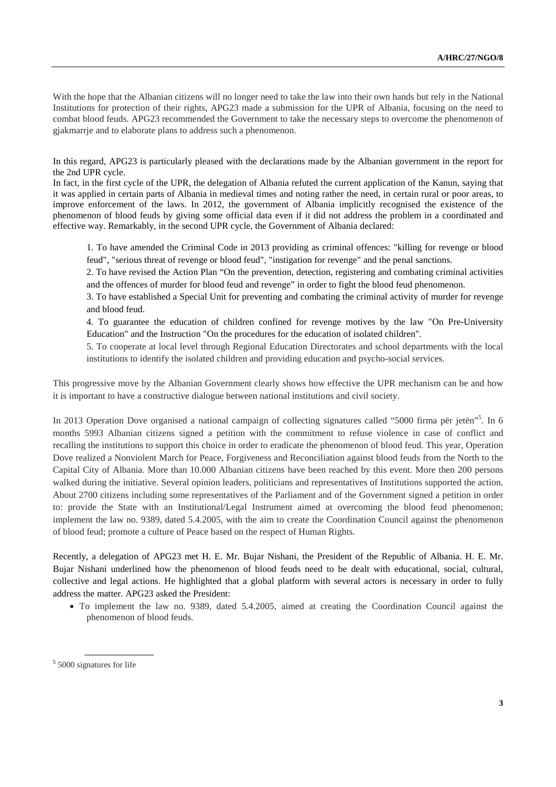With the hope that the Albanian citizens will no longer need to take the law into their own hands but rely in the National Institutions for protection of their rights, APG23 made a submission for the UPR of Albania, focusing on the need to combat blood feuds. APG23 recommended the Government to take the necessary steps to overcome the phenomenon of gjakmarrje and to elaborate plans to address such a phenomenon.

In this regard, APG23 is particularly pleased with the declarations made by the Albanian government in the report for the 2nd UPR cycle.

In fact, in the first cycle of the UPR, the delegation of Albania refuted the current application of the Kanun, saying that it was applied in certain parts of Albania in medieval times and noting rather the need, in certain rural or poor areas, to improve enforcement of the laws. In 2012, the government of Albania implicitly recognised the existence of the phenomenon of blood feuds by giving some official data even if it did not address the problem in a coordinated and effective way. Remarkably, in the second UPR cycle, the Government of Albania declared:

1. To have amended the Criminal Code in 2013 providing as criminal offences: "killing for revenge or blood feud", "serious threat of revenge or blood feud", "instigation for revenge" and the penal sanctions.

2. To have revised the Action Plan "On the prevention, detection, registering and combating criminal activities and the offences of murder for blood feud and revenge" in order to fight the blood feud phenomenon.

3. To have established a Special Unit for preventing and combating the criminal activity of murder for revenge and blood feud.

4. To guarantee the education of children confined for revenge motives by the law "On Pre-University Education" and the Instruction "On the procedures for the education of isolated children".

5. To cooperate at local level through Regional Education Directorates and school departments with the local institutions to identify the isolated children and providing education and psycho-social services.

This progressive move by the Albanian Government clearly shows how effective the UPR mechanism can be and how it is important to have a constructive dialogue between national institutions and civil society.

In 2013 Operation Dove organised a national campaign of collecting signatures called "5000 firma për jetën"<sup>5</sup>. In 6 months 5993 Albanian citizens signed a petition with the commitment to refuse violence in case of conflict and recalling the institutions to support this choice in order to eradicate the phenomenon of blood feud. This year, Operation Dove realized a Nonviolent March for Peace, Forgiveness and Reconciliation against blood feuds from the North to the Capital City of Albania. More than 10.000 Albanian citizens have been reached by this event. More then 200 persons walked during the initiative. Several opinion leaders, politicians and representatives of Institutions supported the action. About 2700 citizens including some representatives of the Parliament and of the Government signed a petition in order to: provide the State with an Institutional/Legal Instrument aimed at overcoming the blood feud phenomenon; implement the law no. 9389, dated 5.4.2005, with the aim to create the Coordination Council against the phenomenon of blood feud; promote a culture of Peace based on the respect of Human Rights.

Recently, a delegation of APG23 met H. E. Mr. Bujar Nishani, the President of the Republic of Albania. H. E. Mr. Bujar Nishani underlined how the phenomenon of blood feuds need to be dealt with educational, social, cultural, collective and legal actions. He highlighted that a global platform with several actors is necessary in order to fully address the matter. APG23 asked the President:

• To implement the law no. 9389, dated 5.4.2005, aimed at creating the Coordination Council against the phenomenon of blood feuds.

<sup>5</sup> 5000 signatures for life